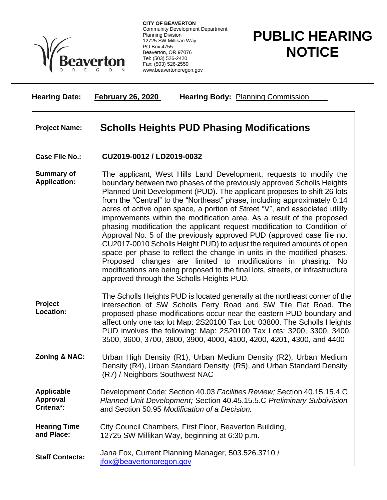

**CITY OF BEAVERTON** Community Development Department Planning Division 12725 SW Millikan Way PO Box 4755 Beaverton, OR 97076 Tel: (503) 526-2420 Fax: (503) 526-2550 www.beavertonoregon.gov

## **PUBLIC HEARING NOTICE**

| <b>Hearing Date:</b>                               | <b>February 26, 2020</b><br><b>Hearing Body: Planning Commission</b>                                                                                                                                                                                                                                                                                                                                                                                                                                                                                                                                                                                                                                                                                                                                                                                                                                                                                                 |
|----------------------------------------------------|----------------------------------------------------------------------------------------------------------------------------------------------------------------------------------------------------------------------------------------------------------------------------------------------------------------------------------------------------------------------------------------------------------------------------------------------------------------------------------------------------------------------------------------------------------------------------------------------------------------------------------------------------------------------------------------------------------------------------------------------------------------------------------------------------------------------------------------------------------------------------------------------------------------------------------------------------------------------|
| <b>Project Name:</b>                               | <b>Scholls Heights PUD Phasing Modifications</b>                                                                                                                                                                                                                                                                                                                                                                                                                                                                                                                                                                                                                                                                                                                                                                                                                                                                                                                     |
| <b>Case File No.:</b>                              | CU2019-0012 / LD2019-0032                                                                                                                                                                                                                                                                                                                                                                                                                                                                                                                                                                                                                                                                                                                                                                                                                                                                                                                                            |
| <b>Summary of</b><br><b>Application:</b>           | The applicant, West Hills Land Development, requests to modify the<br>boundary between two phases of the previously approved Scholls Heights<br>Planned Unit Development (PUD). The applicant proposes to shift 26 lots<br>from the "Central" to the "Northeast" phase, including approximately 0.14<br>acres of active open space, a portion of Street "V", and associated utility<br>improvements within the modification area. As a result of the proposed<br>phasing modification the applicant request modification to Condition of<br>Approval No. 5 of the previously approved PUD (approved case file no.<br>CU2017-0010 Scholls Height PUD) to adjust the required amounts of open<br>space per phase to reflect the change in units in the modified phases.<br>Proposed changes are limited to modifications in phasing. No<br>modifications are being proposed to the final lots, streets, or infrastructure<br>approved through the Scholls Heights PUD. |
| Project<br><b>Location:</b>                        | The Scholls Heights PUD is located generally at the northeast corner of the<br>intersection of SW Scholls Ferry Road and SW Tile Flat Road. The<br>proposed phase modifications occur near the eastern PUD boundary and<br>affect only one tax lot Map: 2S20100 Tax Lot: 03800. The Scholls Heights<br>PUD involves the following: Map: 2S20100 Tax Lots: 3200, 3300, 3400,<br>3500, 3600, 3700, 3800, 3900, 4000, 4100, 4200, 4201, 4300, and 4400                                                                                                                                                                                                                                                                                                                                                                                                                                                                                                                  |
| <b>Zoning &amp; NAC:</b>                           | Urban High Density (R1), Urban Medium Density (R2), Urban Medium<br>Density (R4), Urban Standard Density (R5), and Urban Standard Density<br>(R7) / Neighbors Southwest NAC                                                                                                                                                                                                                                                                                                                                                                                                                                                                                                                                                                                                                                                                                                                                                                                          |
| <b>Applicable</b><br><b>Approval</b><br>Criteria*: | Development Code: Section 40.03 Facilities Review; Section 40.15.15.4.C<br>Planned Unit Development; Section 40.45.15.5.C Preliminary Subdivision<br>and Section 50.95 Modification of a Decision.                                                                                                                                                                                                                                                                                                                                                                                                                                                                                                                                                                                                                                                                                                                                                                   |
| <b>Hearing Time</b><br>and Place:                  | City Council Chambers, First Floor, Beaverton Building,<br>12725 SW Millikan Way, beginning at 6:30 p.m.                                                                                                                                                                                                                                                                                                                                                                                                                                                                                                                                                                                                                                                                                                                                                                                                                                                             |
| <b>Staff Contacts:</b>                             | Jana Fox, Current Planning Manager, 503.526.3710 /<br>jfox@beavertonoregon.gov                                                                                                                                                                                                                                                                                                                                                                                                                                                                                                                                                                                                                                                                                                                                                                                                                                                                                       |